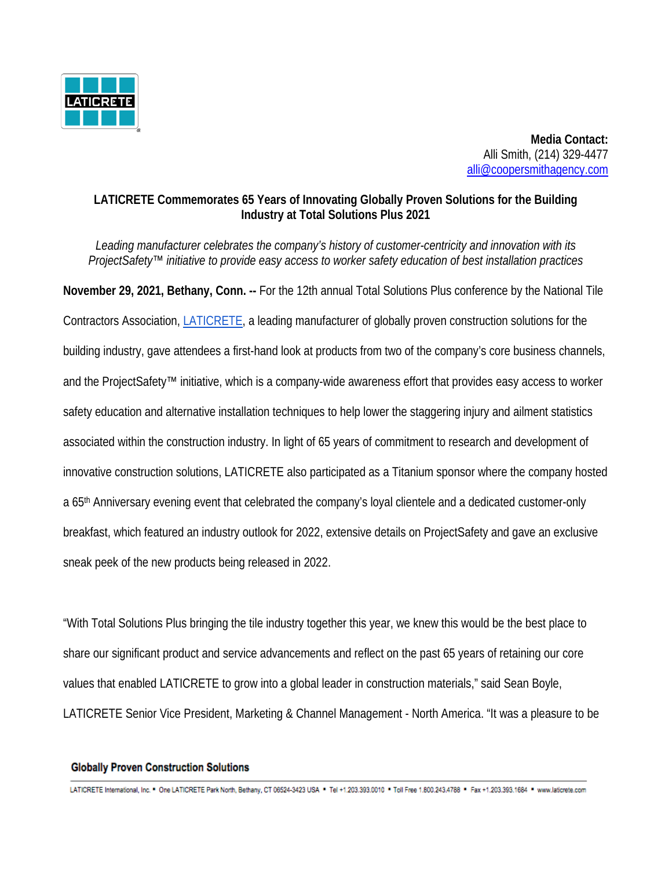

 **Media Contact:** Alli Smith, (214) 329-4477 all[i@coopersmithagency.com](mailto:john@coopersmithagency.com)

## **LATICRETE Commemorates 65 Years of Innovating Globally Proven Solutions for the Building Industry at Total Solutions Plus 2021**

*Leading manufacturer celebrates the company's history of customer-centricity and innovation with its ProjectSafety™ initiative to provide easy access to worker safety education of best installation practices* 

**November 29, 2021, Bethany, Conn. --** For the 12th annual Total Solutions Plus conference by the National Tile Contractors Association, [LATICRETE,](https://laticrete.com/) a leading manufacturer of globally proven construction solutions for the building industry, gave attendees a first-hand look at products from two of the company's core business channels, and the ProjectSafety™ initiative, which is a company-wide awareness effort that provides easy access to worker safety education and alternative installation techniques to help lower the staggering injury and ailment statistics associated within the construction industry. In light of 65 years of commitment to research and development of innovative construction solutions, LATICRETE also participated as a Titanium sponsor where the company hosted a 65<sup>th</sup> Anniversary evening event that celebrated the company's loyal clientele and a dedicated customer-only breakfast, which featured an industry outlook for 2022, extensive details on ProjectSafety and gave an exclusive sneak peek of the new products being released in 2022.

"With Total Solutions Plus bringing the tile industry together this year, we knew this would be the best place to share our significant product and service advancements and reflect on the past 65 years of retaining our core values that enabled LATICRETE to grow into a global leader in construction materials," said Sean Boyle, LATICRETE Senior Vice President, Marketing & Channel Management - North America. "It was a pleasure to be

## **Globally Proven Construction Solutions**

LATICRETE International, Inc. \* One LATICRETE Park North, Bethany, CT 06524-3423 USA \* Tel +1.203.393.0010 \* Toll Free 1.800.243.4788 \* Fax +1.203.393.1684 \* www.laticrete.com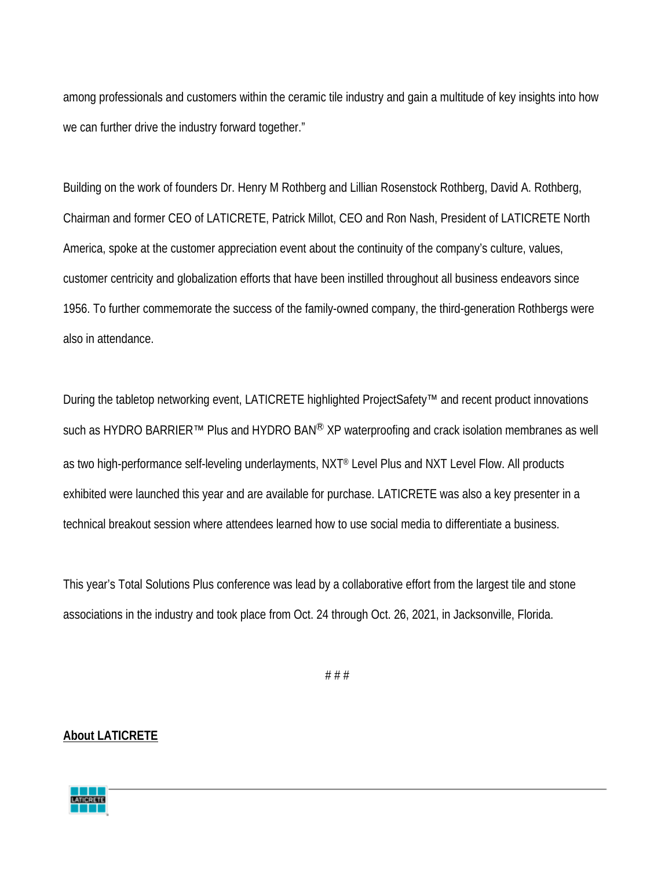among professionals and customers within the ceramic tile industry and gain a multitude of key insights into how we can further drive the industry forward together."

Building on the work of founders Dr. Henry M Rothberg and Lillian Rosenstock Rothberg, David A. Rothberg, Chairman and former CEO of LATICRETE, Patrick Millot, CEO and Ron Nash, President of LATICRETE North America, spoke at the customer appreciation event about the continuity of the company's culture, values, customer centricity and globalization efforts that have been instilled throughout all business endeavors since 1956. To further commemorate the success of the family-owned company, the third-generation Rothbergs were also in attendance.

During the tabletop networking event, LATICRETE highlighted ProjectSafety™ and recent product innovations such as HYDRO BARRIER™ Plus and HYDRO BAN<sup>®</sup> XP waterproofing and crack isolation membranes as well as two high-performance self-leveling underlayments, NXT® Level Plus and NXT Level Flow. All products exhibited were launched this year and are available for purchase. LATICRETE was also a key presenter in a technical breakout session where attendees learned how to use social media to differentiate a business.

This year's Total Solutions Plus conference was lead by a collaborative effort from the largest tile and stone associations in the industry and took place from Oct. 24 through Oct. 26, 2021, in Jacksonville, Florida.

# # #

## **About LATICRETE**